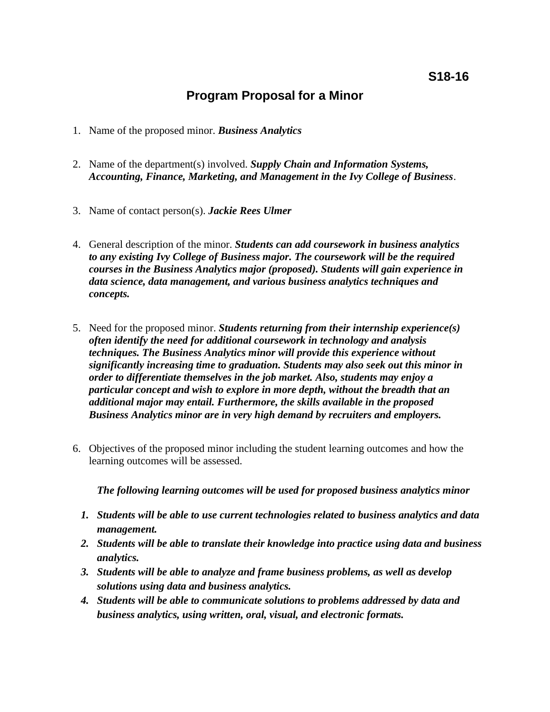# **Program Proposal for a Minor**

- 1. Name of the proposed minor. *Business Analytics*
- 2. Name of the department(s) involved. *Supply Chain and Information Systems, Accounting, Finance, Marketing, and Management in the Ivy College of Business*.
- 3. Name of contact person(s). *Jackie Rees Ulmer*
- 4. General description of the minor. *Students can add coursework in business analytics to any existing Ivy College of Business major. The coursework will be the required courses in the Business Analytics major (proposed). Students will gain experience in data science, data management, and various business analytics techniques and concepts.*
- 5. Need for the proposed minor. *Students returning from their internship experience(s) often identify the need for additional coursework in technology and analysis techniques. The Business Analytics minor will provide this experience without significantly increasing time to graduation. Students may also seek out this minor in order to differentiate themselves in the job market. Also, students may enjoy a particular concept and wish to explore in more depth, without the breadth that an additional major may entail. Furthermore, the skills available in the proposed Business Analytics minor are in very high demand by recruiters and employers.*
- 6. Objectives of the proposed minor including the student learning outcomes and how the learning outcomes will be assessed.

*The following learning outcomes will be used for proposed business analytics minor*

- *1. Students will be able to use current technologies related to business analytics and data management.*
- *2. Students will be able to translate their knowledge into practice using data and business analytics.*
- *3. Students will be able to analyze and frame business problems, as well as develop solutions using data and business analytics.*
- *4. Students will be able to communicate solutions to problems addressed by data and business analytics, using written, oral, visual, and electronic formats.*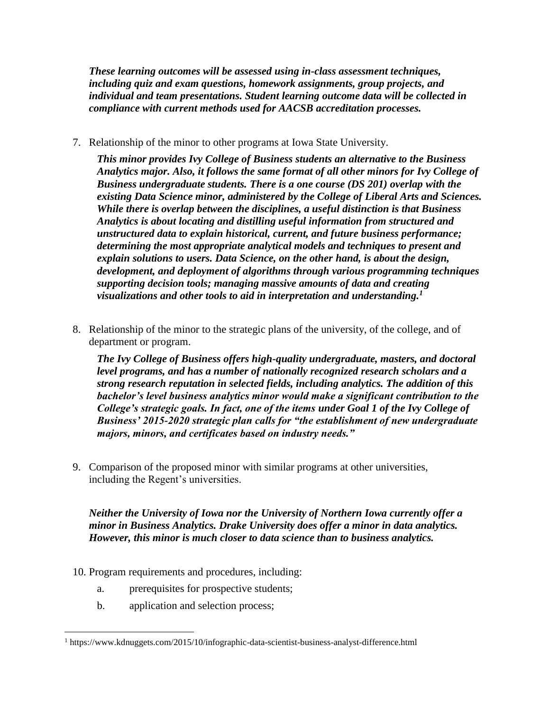*These learning outcomes will be assessed using in-class assessment techniques, including quiz and exam questions, homework assignments, group projects, and individual and team presentations. Student learning outcome data will be collected in compliance with current methods used for AACSB accreditation processes.*

7. Relationship of the minor to other programs at Iowa State University.

*This minor provides Ivy College of Business students an alternative to the Business Analytics major. Also, it follows the same format of all other minors for Ivy College of Business undergraduate students. There is a one course (DS 201) overlap with the existing Data Science minor, administered by the College of Liberal Arts and Sciences. While there is overlap between the disciplines, a useful distinction is that Business Analytics is about locating and distilling useful information from structured and unstructured data to explain historical, current, and future business performance; determining the most appropriate analytical models and techniques to present and explain solutions to users. Data Science, on the other hand, is about the design, development, and deployment of algorithms through various programming techniques supporting decision tools; managing massive amounts of data and creating visualizations and other tools to aid in interpretation and understanding.<sup>1</sup>*

8. Relationship of the minor to the strategic plans of the university, of the college, and of department or program.

*The Ivy College of Business offers high-quality undergraduate, masters, and doctoral level programs, and has a number of nationally recognized research scholars and a strong research reputation in selected fields, including analytics. The addition of this bachelor's level business analytics minor would make a significant contribution to the College's strategic goals. In fact, one of the items under Goal 1 of the Ivy College of Business' 2015-2020 strategic plan calls for "the establishment of new undergraduate majors, minors, and certificates based on industry needs."*

9. Comparison of the proposed minor with similar programs at other universities, including the Regent's universities.

*Neither the University of Iowa nor the University of Northern Iowa currently offer a minor in Business Analytics. Drake University does offer a minor in data analytics. However, this minor is much closer to data science than to business analytics.* 

- 10. Program requirements and procedures, including:
	- a. prerequisites for prospective students;
	- b. application and selection process;

 $\overline{a}$ 

<sup>1</sup> https://www.kdnuggets.com/2015/10/infographic-data-scientist-business-analyst-difference.html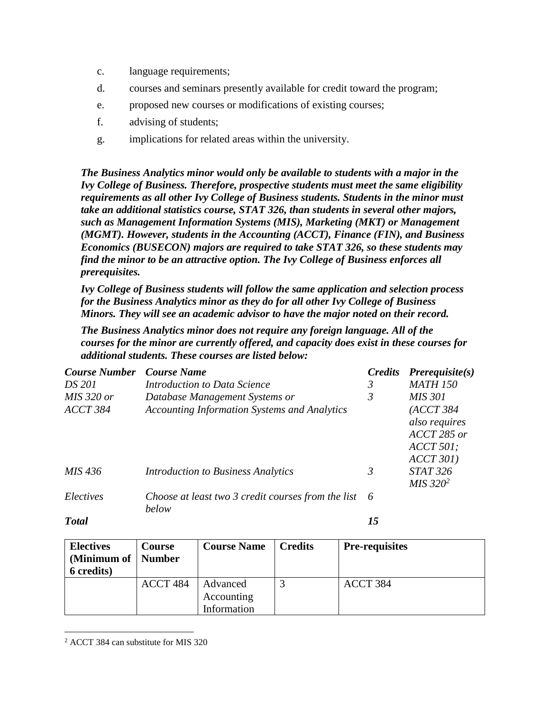- c. language requirements;
- d. courses and seminars presently available for credit toward the program;
- e. proposed new courses or modifications of existing courses;
- f. advising of students;
- g. implications for related areas within the university.

*The Business Analytics minor would only be available to students with a major in the Ivy College of Business. Therefore, prospective students must meet the same eligibility requirements as all other Ivy College of Business students. Students in the minor must take an additional statistics course, STAT 326, than students in several other majors, such as Management Information Systems (MIS), Marketing (MKT) or Management (MGMT). However, students in the Accounting (ACCT), Finance (FIN), and Business Economics (BUSECON) majors are required to take STAT 326, so these students may find the minor to be an attractive option. The Ivy College of Business enforces all prerequisites.*

*Ivy College of Business students will follow the same application and selection process for the Business Analytics minor as they do for all other Ivy College of Business Minors. They will see an academic advisor to have the major noted on their record.*

*The Business Analytics minor does not require any foreign language. All of the courses for the minor are currently offered, and capacity does exist in these courses for additional students. These courses are listed below:*

| <b>Course Number</b> | <b>Course Name</b>                                          | <b>Credits</b> | $Prerequisite(s)$                                                     |
|----------------------|-------------------------------------------------------------|----------------|-----------------------------------------------------------------------|
| <i>DS</i> 201        | Introduction to Data Science                                | 3              | <b>MATH 150</b>                                                       |
| $MIS$ 320 or         | Database Management Systems or                              | 3              | <i>MIS 301</i>                                                        |
| ACCT 384             | <b>Accounting Information Systems and Analytics</b>         |                | (ACCT 384)<br>also requires<br>ACCT 285 or<br>$ACCT$ 501;<br>ACCT 301 |
| <i>MIS 436</i>       | <b>Introduction to Business Analytics</b>                   | 3              | <b>STAT 326</b><br>$MIS$ 320 <sup>2</sup>                             |
| Electives            | Choose at least two 3 credit courses from the list<br>below | 6              |                                                                       |

*Total 15*

| <b>Electives</b><br>(Minimum of   Number<br><b>6</b> credits) | <b>Course</b> | <b>Course Name</b>     | <b>Credits</b> | <b>Pre-requisites</b> |
|---------------------------------------------------------------|---------------|------------------------|----------------|-----------------------|
|                                                               | ACCT 484      | Advanced<br>Accounting |                | ACCT 384              |
|                                                               |               | Information            |                |                       |

 $\overline{a}$ <sup>2</sup> ACCT 384 can substitute for MIS 320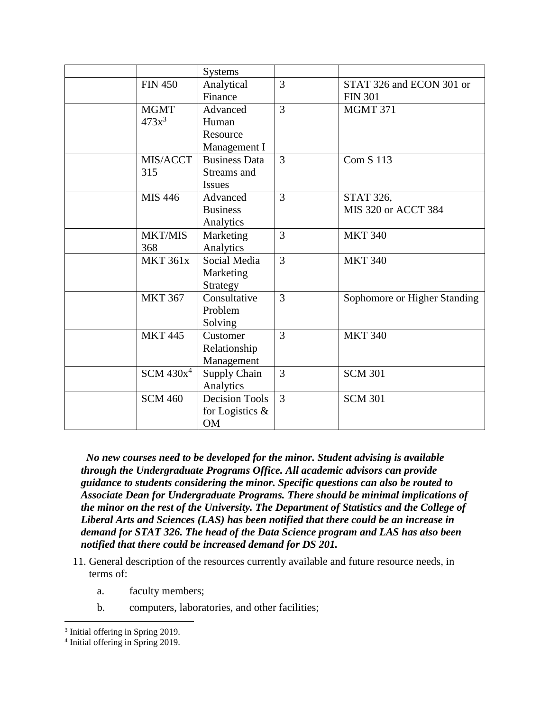|                 | <b>Systems</b>        |                |                              |
|-----------------|-----------------------|----------------|------------------------------|
| <b>FIN 450</b>  | Analytical            | 3              | STAT 326 and ECON 301 or     |
|                 | Finance               |                | <b>FIN 301</b>               |
| <b>MGMT</b>     | Advanced              | $\overline{3}$ | <b>MGMT 371</b>              |
| $473x^3$        | Human                 |                |                              |
|                 | Resource              |                |                              |
|                 | Management I          |                |                              |
| MIS/ACCT        | <b>Business Data</b>  | 3              | <b>Com S 113</b>             |
| 315             | Streams and           |                |                              |
|                 | <b>Issues</b>         |                |                              |
| MIS 446         | Advanced              | $\overline{3}$ | STAT 326,                    |
|                 | <b>Business</b>       |                | MIS 320 or ACCT 384          |
|                 | Analytics             |                |                              |
| MKT/MIS         | Marketing             | $\overline{3}$ | <b>MKT 340</b>               |
| 368             | Analytics             |                |                              |
| <b>MKT 361x</b> | Social Media          | $\overline{3}$ | <b>MKT 340</b>               |
|                 | Marketing             |                |                              |
|                 | Strategy              |                |                              |
| <b>MKT 367</b>  | Consultative          | $\overline{3}$ | Sophomore or Higher Standing |
|                 | Problem               |                |                              |
|                 | Solving               |                |                              |
| <b>MKT 445</b>  | Customer              | $\overline{3}$ | <b>MKT 340</b>               |
|                 | Relationship          |                |                              |
|                 | Management            |                |                              |
| $SCM$ 430 $x^4$ | Supply Chain          | 3              | <b>SCM 301</b>               |
|                 | Analytics             |                |                              |
| <b>SCM 460</b>  | <b>Decision Tools</b> | $\overline{3}$ | <b>SCM 301</b>               |
|                 | for Logistics &       |                |                              |
|                 | <b>OM</b>             |                |                              |

*No new courses need to be developed for the minor. Student advising is available through the Undergraduate Programs Office. All academic advisors can provide guidance to students considering the minor. Specific questions can also be routed to Associate Dean for Undergraduate Programs. There should be minimal implications of the minor on the rest of the University. The Department of Statistics and the College of Liberal Arts and Sciences (LAS) has been notified that there could be an increase in demand for STAT 326. The head of the Data Science program and LAS has also been notified that there could be increased demand for DS 201.*

- 11. General description of the resources currently available and future resource needs, in terms of:
	- a. faculty members;
	- b. computers, laboratories, and other facilities;

 $\overline{a}$ 

<sup>&</sup>lt;sup>3</sup> Initial offering in Spring 2019.

<sup>4</sup> Initial offering in Spring 2019.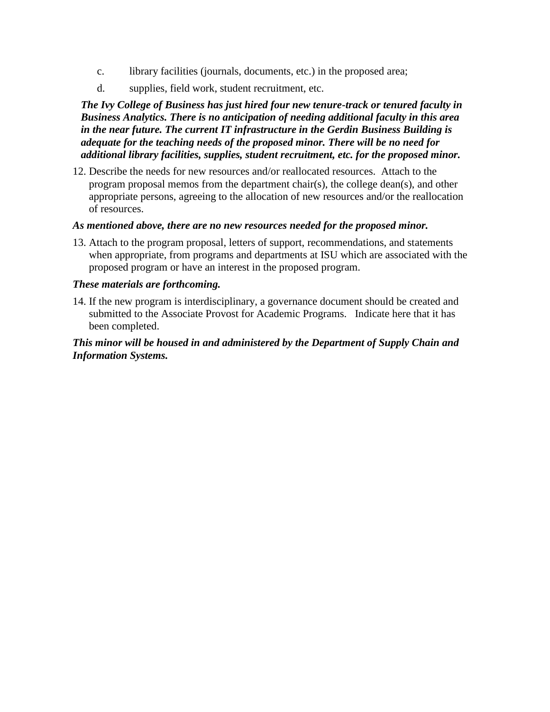- c. library facilities (journals, documents, etc.) in the proposed area;
- d. supplies, field work, student recruitment, etc.

*The Ivy College of Business has just hired four new tenure-track or tenured faculty in Business Analytics. There is no anticipation of needing additional faculty in this area in the near future. The current IT infrastructure in the Gerdin Business Building is adequate for the teaching needs of the proposed minor. There will be no need for additional library facilities, supplies, student recruitment, etc. for the proposed minor.*

12. Describe the needs for new resources and/or reallocated resources. Attach to the program proposal memos from the department chair(s), the college dean(s), and other appropriate persons, agreeing to the allocation of new resources and/or the reallocation of resources.

### *As mentioned above, there are no new resources needed for the proposed minor.*

13. Attach to the program proposal, letters of support, recommendations, and statements when appropriate, from programs and departments at ISU which are associated with the proposed program or have an interest in the proposed program.

## *These materials are forthcoming.*

14. If the new program is interdisciplinary, a governance document should be created and submitted to the Associate Provost for Academic Programs. Indicate here that it has been completed.

# *This minor will be housed in and administered by the Department of Supply Chain and Information Systems.*